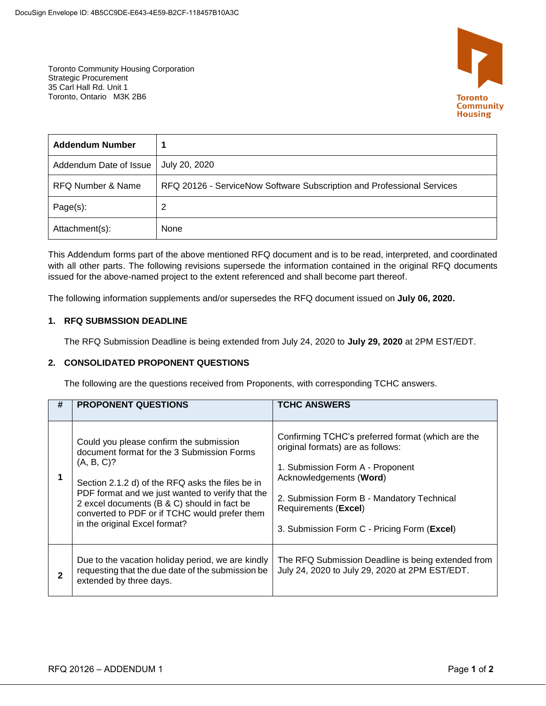

Toronto Community Housing Corporation Strategic Procurement 35 Carl Hall Rd. Unit 1 Toronto, Ontario M3K 2B6

| <b>Addendum Number</b> |                                                                        |
|------------------------|------------------------------------------------------------------------|
| Addendum Date of Issue | July 20, 2020                                                          |
| RFQ Number & Name      | RFQ 20126 - ServiceNow Software Subscription and Professional Services |
| $Page(s)$ :            | 2                                                                      |
| Attachment(s):         | None                                                                   |

This Addendum forms part of the above mentioned RFQ document and is to be read, interpreted, and coordinated with all other parts. The following revisions supersede the information contained in the original RFQ documents issued for the above-named project to the extent referenced and shall become part thereof.

The following information supplements and/or supersedes the RFQ document issued on **July 06, 2020.**

## **1. RFQ SUBMSSION DEADLINE**

The RFQ Submission Deadline is being extended from July 24, 2020 to **July 29, 2020** at 2PM EST/EDT.

## **2. CONSOLIDATED PROPONENT QUESTIONS**

The following are the questions received from Proponents, with corresponding TCHC answers.

| #            | <b>PROPONENT QUESTIONS</b>                                                                                                                                                                                                                                                                                                                   | <b>TCHC ANSWERS</b>                                                                                                                                                                                                                                                        |
|--------------|----------------------------------------------------------------------------------------------------------------------------------------------------------------------------------------------------------------------------------------------------------------------------------------------------------------------------------------------|----------------------------------------------------------------------------------------------------------------------------------------------------------------------------------------------------------------------------------------------------------------------------|
| 1            | Could you please confirm the submission<br>document format for the 3 Submission Forms<br>(A, B, C)?<br>Section 2.1.2 d) of the RFQ asks the files be in<br>PDF format and we just wanted to verify that the<br>2 excel documents (B & C) should in fact be<br>converted to PDF or if TCHC would prefer them<br>in the original Excel format? | Confirming TCHC's preferred format (which are the<br>original formats) are as follows:<br>1. Submission Form A - Proponent<br>Acknowledgements (Word)<br>2. Submission Form B - Mandatory Technical<br>Requirements (Excel)<br>3. Submission Form C - Pricing Form (Excel) |
| $\mathbf{2}$ | Due to the vacation holiday period, we are kindly<br>requesting that the due date of the submission be<br>extended by three days.                                                                                                                                                                                                            | The RFQ Submission Deadline is being extended from<br>July 24, 2020 to July 29, 2020 at 2PM EST/EDT.                                                                                                                                                                       |